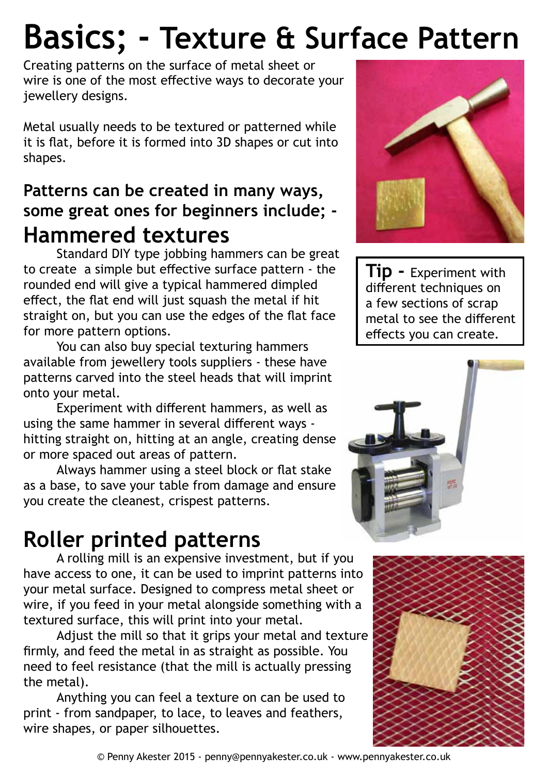# **Basics; - Texture & Surface Pattern**

Creating patterns on the surface of metal sheet or wire is one of the most effective ways to decorate your jewellery designs.

Metal usually needs to be textured or patterned while it is flat, before it is formed into 3D shapes or cut into shapes.

### **Patterns can be created in many ways, some great ones for beginners include; - Hammered textures**

Standard DIY type jobbing hammers can be great to create a simple but effective surface pattern - the rounded end will give a typical hammered dimpled effect, the flat end will just squash the metal if hit straight on, but you can use the edges of the flat face for more pattern options.

You can also buy special texturing hammers available from jewellery tools suppliers - these have patterns carved into the steel heads that will imprint onto your metal.

Experiment with different hammers, as well as using the same hammer in several different ways hitting straight on, hitting at an angle, creating dense or more spaced out areas of pattern.

Always hammer using a steel block or flat stake as a base, to save your table from damage and ensure you create the cleanest, crispest patterns.

## **Roller printed patterns**

A rolling mill is an expensive investment, but if you have access to one, it can be used to imprint patterns into your metal surface. Designed to compress metal sheet or wire, if you feed in your metal alongside something with a textured surface, this will print into your metal.

Adjust the mill so that it grips your metal and texture firmly, and feed the metal in as straight as possible. You need to feel resistance (that the mill is actually pressing the metal).

Anything you can feel a texture on can be used to print - from sandpaper, to lace, to leaves and feathers, wire shapes, or paper silhouettes.



**Tip -** Experiment with different techniques on a few sections of scrap metal to see the different effects you can create.